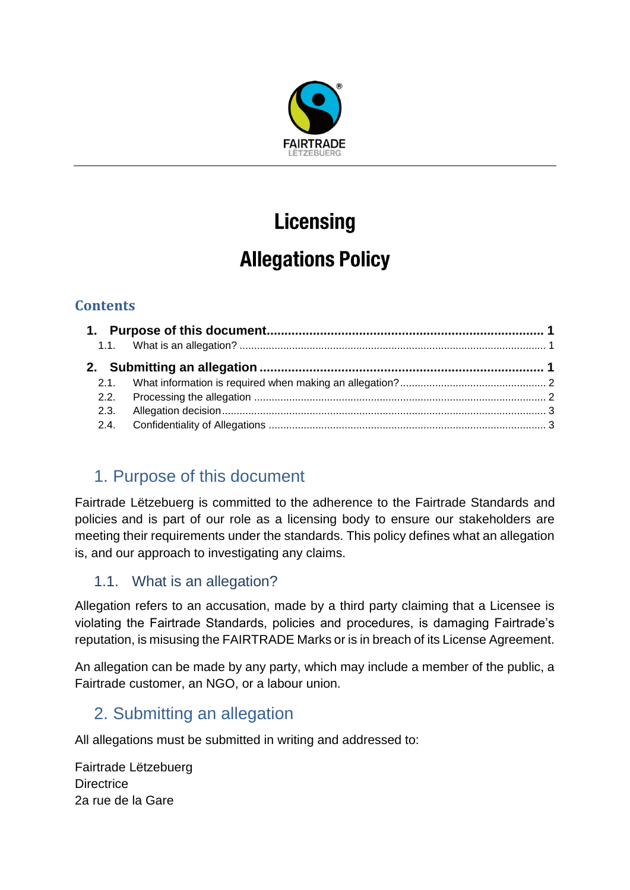

# **Licensing**

## **Allegations Policy**

## **Contents**

## <span id="page-0-0"></span>1. Purpose of this document

Fairtrade Lëtzebuerg is committed to the adherence to the Fairtrade Standards and policies and is part of our role as a licensing body to ensure our stakeholders are meeting their requirements under the standards. This policy defines what an allegation is, and our approach to investigating any claims.

## <span id="page-0-1"></span>1.1. What is an allegation?

Allegation refers to an accusation, made by a third party claiming that a Licensee is violating the Fairtrade Standards, policies and procedures, is damaging Fairtrade's reputation, is misusing the FAIRTRADE Marks or is in breach of its License Agreement.

An allegation can be made by any party, which may include a member of the public, a Fairtrade customer, an NGO, or a labour union.

## <span id="page-0-2"></span>2. Submitting an allegation

All allegations must be submitted in writing and addressed to:

Fairtrade Lëtzebuerg **Directrice** 2a rue de la Gare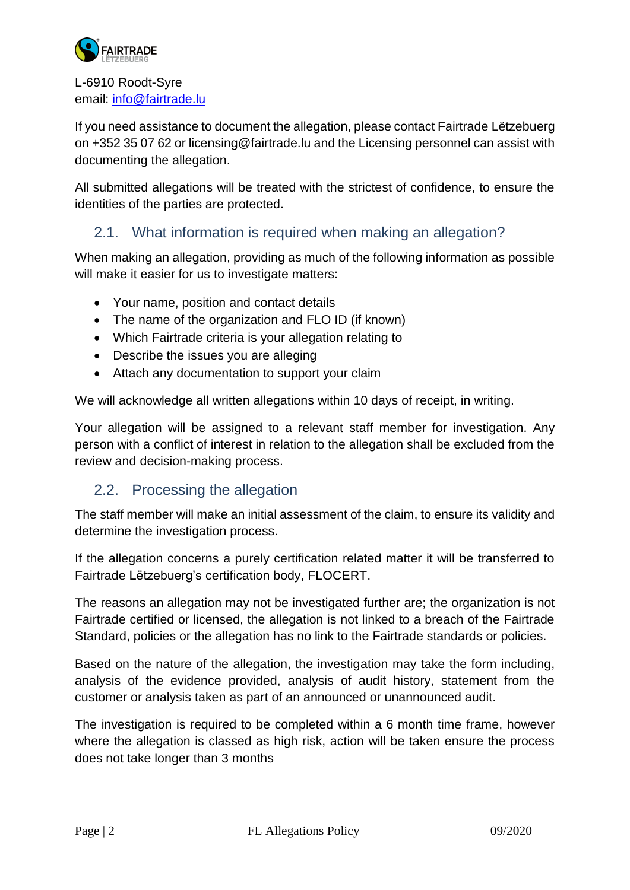

L-6910 Roodt-Syre email: [info@fairtrade.lu](mailto:info@fairtrade.lu)

If you need assistance to document the allegation, please contact Fairtrade Lëtzebuerg on +352 35 07 62 or licensing@fairtrade.lu and the Licensing personnel can assist with documenting the allegation.

All submitted allegations will be treated with the strictest of confidence, to ensure the identities of the parties are protected.

#### <span id="page-1-0"></span>2.1. What information is required when making an allegation?

When making an allegation, providing as much of the following information as possible will make it easier for us to investigate matters:

- Your name, position and contact details
- The name of the organization and FLO ID (if known)
- Which Fairtrade criteria is your allegation relating to
- Describe the issues you are alleging
- Attach any documentation to support your claim

We will acknowledge all written allegations within 10 days of receipt, in writing.

Your allegation will be assigned to a relevant staff member for investigation. Any person with a conflict of interest in relation to the allegation shall be excluded from the review and decision-making process.

#### <span id="page-1-1"></span>2.2. Processing the allegation

The staff member will make an initial assessment of the claim, to ensure its validity and determine the investigation process.

If the allegation concerns a purely certification related matter it will be transferred to Fairtrade Lëtzebuerg's certification body, FLOCERT.

The reasons an allegation may not be investigated further are; the organization is not Fairtrade certified or licensed, the allegation is not linked to a breach of the Fairtrade Standard, policies or the allegation has no link to the Fairtrade standards or policies.

Based on the nature of the allegation, the investigation may take the form including, analysis of the evidence provided, analysis of audit history, statement from the customer or analysis taken as part of an announced or unannounced audit.

The investigation is required to be completed within a 6 month time frame, however where the allegation is classed as high risk, action will be taken ensure the process does not take longer than 3 months